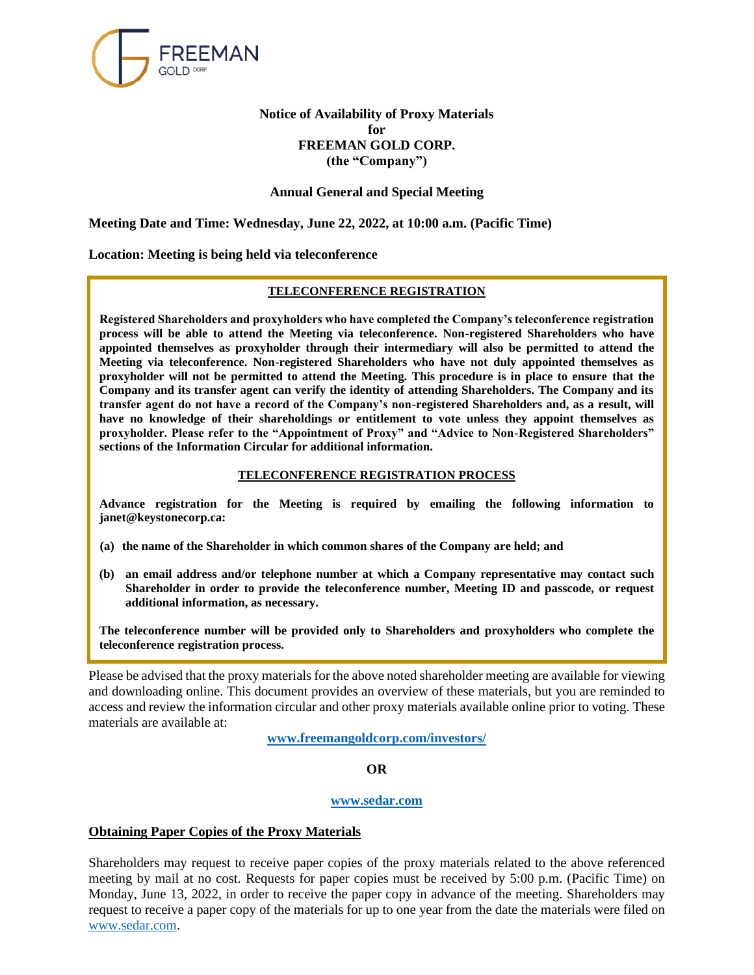

# **Notice of Availability of Proxy Materials for FREEMAN GOLD CORP. (the "Company")**

# **Annual General and Special Meeting**

**Meeting Date and Time: Wednesday, June 22, 2022, at 10:00 a.m. (Pacific Time)**

**Location: Meeting is being held via teleconference**

### **TELECONFERENCE REGISTRATION**

**Registered Shareholders and proxyholders who have completed the Company's teleconference registration process will be able to attend the Meeting via teleconference. Non-registered Shareholders who have appointed themselves as proxyholder through their intermediary will also be permitted to attend the Meeting via teleconference. Non-registered Shareholders who have not duly appointed themselves as proxyholder will not be permitted to attend the Meeting. This procedure is in place to ensure that the Company and its transfer agent can verify the identity of attending Shareholders. The Company and its transfer agent do not have a record of the Company's non-registered Shareholders and, as a result, will have no knowledge of their shareholdings or entitlement to vote unless they appoint themselves as proxyholder. Please refer to the "Appointment of Proxy" and "Advice to Non-Registered Shareholders" sections of the Information Circular for additional information.**

### **TELECONFERENCE REGISTRATION PROCESS**

**Advance registration for the Meeting is required by emailing the following information to janet@keystonecorp.ca:** 

- **(a) the name of the Shareholder in which common shares of the Company are held; and**
- **(b) an email address and/or telephone number at which a Company representative may contact such Shareholder in order to provide the teleconference number, Meeting ID and passcode, or request additional information, as necessary.**

**The teleconference number will be provided only to Shareholders and proxyholders who complete the teleconference registration process.**

Please be advised that the proxy materials for the above noted shareholder meeting are available for viewing and downloading online. This document provides an overview of these materials, but you are reminded to access and review the information circular and other proxy materials available online prior to voting. These materials are available at:

**[www.freemangoldcorp.com/investors/](http://www.freemangoldcorp.com/investors/)**

**OR**

## **[www.sedar.com](http://www.sedar.com/)**

## **Obtaining Paper Copies of the Proxy Materials**

Shareholders may request to receive paper copies of the proxy materials related to the above referenced meeting by mail at no cost. Requests for paper copies must be received by 5:00 p.m. (Pacific Time) on Monday, June 13, 2022, in order to receive the paper copy in advance of the meeting. Shareholders may request to receive a paper copy of the materials for up to one year from the date the materials were filed on [www.sedar.com.](http://www.sedar.com/)